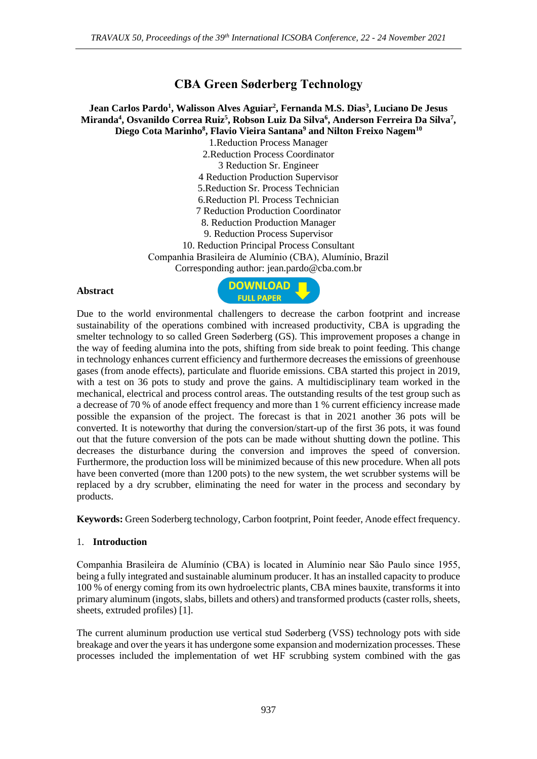# **CBA Green Søderberg Technology**

### **Jean Carlos Pardo<sup>1</sup> , Walisson Alves Aguiar<sup>2</sup> , Fernanda M.S. Dias<sup>3</sup> , Luciano De Jesus Miranda<sup>4</sup> , Osvanildo Correa Ruiz<sup>5</sup> , Robson Luiz Da Silva<sup>6</sup> , Anderson Ferreira Da Silva<sup>7</sup> , Diego Cota Marinho<sup>8</sup> , Flavio Vieira Santana<sup>9</sup> and Nilton Freixo Nagem<sup>10</sup>**

1.Reduction Process Manager 2.Reduction Process Coordinator 3 Reduction Sr. Engineer 4 Reduction Production Supervisor 5.Reduction Sr. Process Technician 6.Reduction Pl. Process Technician 7 Reduction Production Coordinator 8. Reduction Production Manager 9. Reduction Process Supervisor 10. Reduction Principal Process Consultant Companhia Brasileira de Alumínio (CBA), Alumínio, Brazil Corresponding author: jean.pardo@cba.com.br

#### **Abstract**



Due to the world environmental challengers to decrease the carbon footprint and increase sustainability of the operations combined with increased productivity, CBA is upgrading the smelter technology to so called Green Søderberg (GS). This improvement proposes a change in the way of feeding alumina into the pots, shifting from side break to point feeding. This change in technology enhances current efficiency and furthermore decreases the emissions of greenhouse gases (from anode effects), particulate and fluoride emissions. CBA started this project in 2019, with a test on 36 pots to study and prove the gains. A multidisciplinary team worked in the mechanical, electrical and process control areas. The outstanding results of the test group such as a decrease of 70 % of anode effect frequency and more than 1 % current efficiency increase made possible the expansion of the project. The forecast is that in 2021 another 36 pots will be converted. It is noteworthy that during the conversion/start-up of the first 36 pots, it was found out that the future conversion of the pots can be made without shutting down the potline. This decreases the disturbance during the conversion and improves the speed of conversion. Furthermore, the production loss will be minimized because of this new procedure. When all pots have been converted (more than 1200 pots) to the new system, the wet scrubber systems will be replaced by a dry scrubber, eliminating the need for water in the process and secondary by products.

**Keywords:** Green Soderberg technology, Carbon footprint, Point feeder, Anode effect frequency.

#### 1. **Introduction**

Companhia Brasileira de Alumínio (CBA) is located in Alumínio near São Paulo since 1955, being a fully integrated and sustainable aluminum producer. It has an installed capacity to produce 100 % of energy coming from its own hydroelectric plants, CBA mines bauxite, transforms it into primary aluminum (ingots, slabs, billets and others) and transformed products (caster rolls, sheets, sheets, extruded profiles) [1].

The current aluminum production use vertical stud Søderberg (VSS) technology pots with side breakage and over the years it has undergone some expansion and modernization processes. These processes included the implementation of wet HF scrubbing system combined with the gas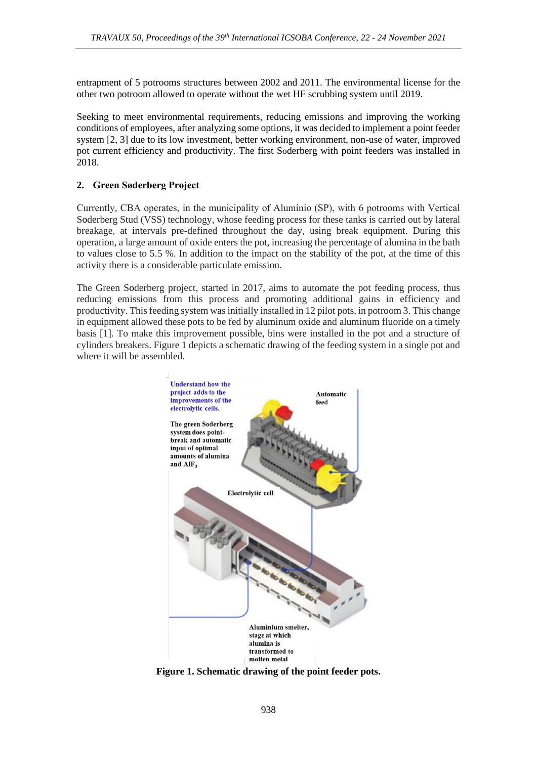entrapment of 5 potrooms structures between 2002 and 2011. The environmental license for the other two potroom allowed to operate without the wet HF scrubbing system until 2019.

Seeking to meet environmental requirements, reducing emissions and improving the working conditions of employees, after analyzing some options, it was decided to implement a point feeder system [2, 3] due to its low investment, better working environment, non-use of water, improved pot current efficiency and productivity. The first Soderberg with point feeders was installed in 2018.

## **2. Green Søderberg Project**

Currently, CBA operates, in the municipality of Alumínio (SP), with 6 potrooms with Vertical Soderberg Stud (VSS) technology, whose feeding process for these tanks is carried out by lateral breakage, at intervals pre-defined throughout the day, using break equipment. During this operation, a large amount of oxide enters the pot, increasing the percentage of alumina in the bath to values close to 5.5 %. In addition to the impact on the stability of the pot, at the time of this activity there is a considerable particulate emission.

The Green Soderberg project, started in 2017, aims to automate the pot feeding process, thus reducing emissions from this process and promoting additional gains in efficiency and productivity. This feeding system was initially installed in 12 pilot pots, in potroom 3. This change in equipment allowed these pots to be fed by aluminum oxide and aluminum fluoride on a timely basis [1]. To make this improvement possible, bins were installed in the pot and a structure of cylinders breakers. Figure 1 depicts a schematic drawing of the feeding system in a single pot and where it will be assembled.



**Figure 1. Schematic drawing of the point feeder pots.**